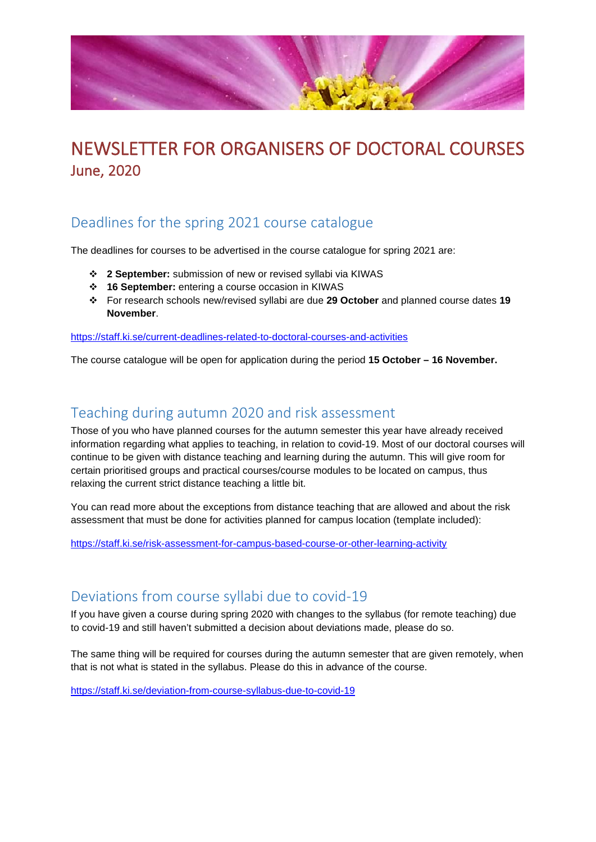

# NEWSLETTER FOR ORGANISERS OF DOCTORAL COURSES June, 2020

## Deadlines for the spring 2021 course catalogue

The deadlines for courses to be advertised in the course catalogue for spring 2021 are:

- **2 September:** submission of new or revised syllabi via KIWAS
- **16 September:** entering a course occasion in KIWAS
- For research schools new/revised syllabi are due **29 October** and planned course dates **19 November**.

<https://staff.ki.se/current-deadlines-related-to-doctoral-courses-and-activities>

The course catalogue will be open for application during the period **15 October – 16 November.**

#### Teaching during autumn 2020 and risk assessment

Those of you who have planned courses for the autumn semester this year have already received information regarding what applies to teaching, in relation to covid-19. Most of our doctoral courses will continue to be given with distance teaching and learning during the autumn. This will give room for certain prioritised groups and practical courses/course modules to be located on campus, thus relaxing the current strict distance teaching a little bit.

You can read more about the exceptions from distance teaching that are allowed and about the risk assessment that must be done for activities planned for campus location (template included):

<https://staff.ki.se/risk-assessment-for-campus-based-course-or-other-learning-activity>

#### Deviations from course syllabi due to covid-19

If you have given a course during spring 2020 with changes to the syllabus (for remote teaching) due to covid-19 and still haven't submitted a decision about deviations made, please do so.

The same thing will be required for courses during the autumn semester that are given remotely, when that is not what is stated in the syllabus. Please do this in advance of the course.

<https://staff.ki.se/deviation-from-course-syllabus-due-to-covid-19>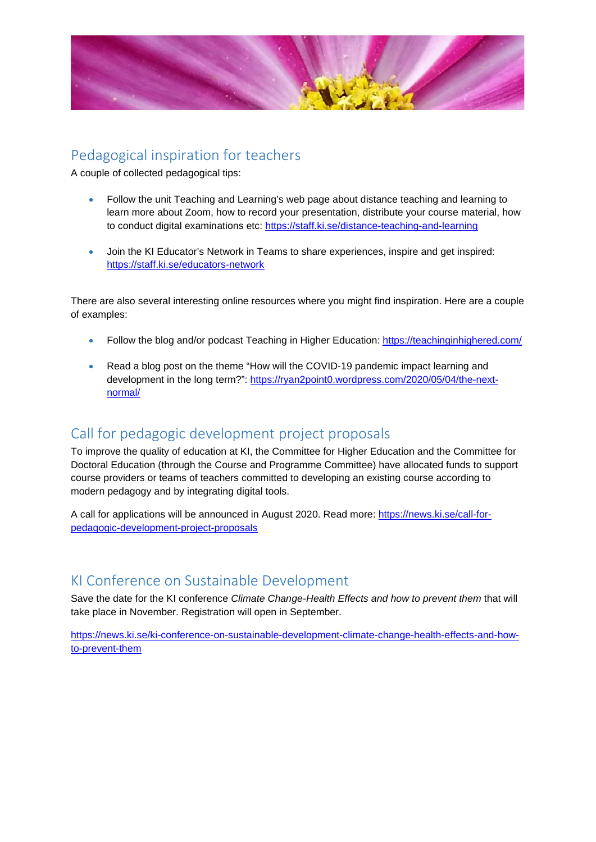

### Pedagogical inspiration for teachers

A couple of collected pedagogical tips:

- Follow the unit Teaching and Learning's web page about distance teaching and learning to learn more about Zoom, how to record your presentation, distribute your course material, how to conduct digital examinations etc: <https://staff.ki.se/distance-teaching-and-learning>
- Join the KI Educator's Network in Teams to share experiences, inspire and get inspired: <https://staff.ki.se/educators-network>

There are also several interesting online resources where you might find inspiration. Here are a couple of examples:

- Follow the blog and/or podcast Teaching in Higher Education: <https://teachinginhighered.com/>
- Read a blog post on the theme "How will the COVID-19 pandemic impact learning and development in the long term?": [https://ryan2point0.wordpress.com/2020/05/04/the-next](https://ryan2point0.wordpress.com/2020/05/04/the-next-normal/)[normal/](https://ryan2point0.wordpress.com/2020/05/04/the-next-normal/)

## Call for pedagogic development project proposals

To improve the quality of education at KI, the Committee for Higher Education and the Committee for Doctoral Education (through the Course and Programme Committee) have allocated funds to support course providers or teams of teachers committed to developing an existing course according to modern pedagogy and by integrating digital tools.

A call for applications will be announced in August 2020. Read more: [https://news.ki.se/call-for](https://news.ki.se/call-for-pedagogic-development-project-proposals)[pedagogic-development-project-proposals](https://news.ki.se/call-for-pedagogic-development-project-proposals)

#### KI Conference on Sustainable Development

Save the date for the KI conference *Climate Change-Health Effects and how to prevent them* that will take place in November. Registration will open in September.

[https://news.ki.se/ki-conference-on-sustainable-development-climate-change-health-effects-and-how](https://news.ki.se/ki-conference-on-sustainable-development-climate-change-health-effects-and-how-to-prevent-them)[to-prevent-them](https://news.ki.se/ki-conference-on-sustainable-development-climate-change-health-effects-and-how-to-prevent-them)